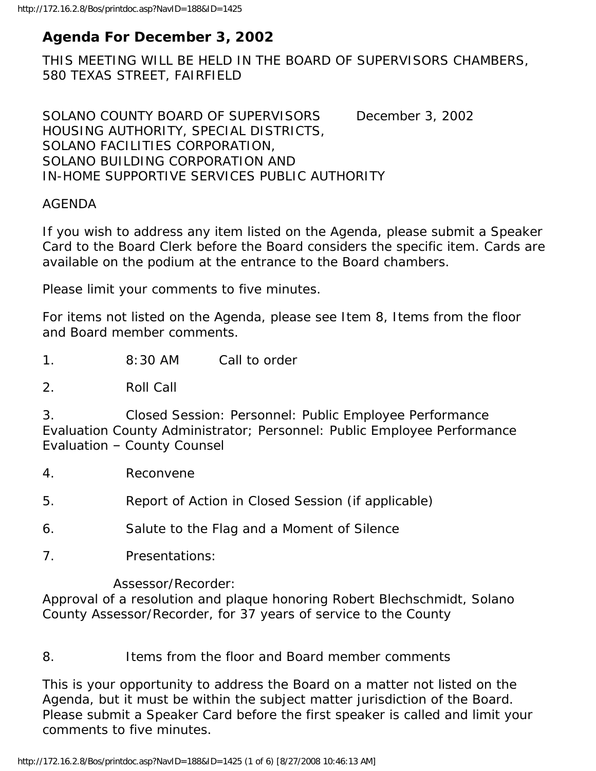# **Agenda For December 3, 2002**

THIS MEETING WILL BE HELD IN THE BOARD OF SUPERVISORS CHAMBERS, 580 TEXAS STREET, FAIRFIELD

SOLANO COUNTY BOARD OF SUPERVISORS December 3, 2002 HOUSING AUTHORITY, SPECIAL DISTRICTS, SOLANO FACILITIES CORPORATION, SOLANO BUILDING CORPORATION AND IN-HOME SUPPORTIVE SERVICES PUBLIC AUTHORITY

#### AGENDA

If you wish to address any item listed on the Agenda, please submit a Speaker Card to the Board Clerk before the Board considers the specific item. Cards are available on the podium at the entrance to the Board chambers.

Please limit your comments to five minutes.

For items not listed on the Agenda, please see Item 8, Items from the floor and Board member comments.

1. 8:30 AM Call to order

2. Roll Call

3. Closed Session: Personnel: Public Employee Performance Evaluation County Administrator; Personnel: Public Employee Performance Evaluation – County Counsel

4. Reconvene

5. Report of Action in Closed Session (if applicable)

- 6. Salute to the Flag and a Moment of Silence
- 7. Presentations:

Assessor/Recorder:

Approval of a resolution and plaque honoring Robert Blechschmidt, Solano County Assessor/Recorder, for 37 years of service to the County

#### 8. Items from the floor and Board member comments

This is your opportunity to address the Board on a matter not listed on the Agenda, but it must be within the subject matter jurisdiction of the Board. Please submit a Speaker Card before the first speaker is called and limit your comments to five minutes.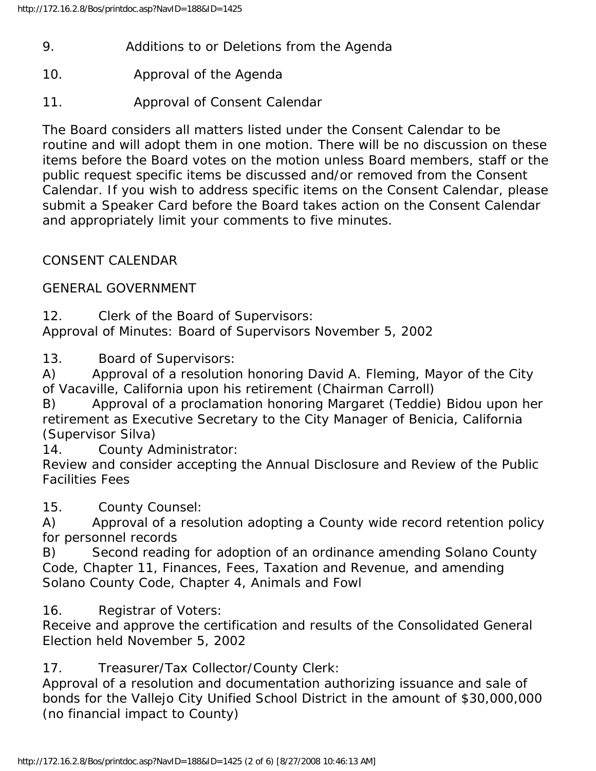- 9. Additions to or Deletions from the Agenda
- 10. Approval of the Agenda
- 11. Approval of Consent Calendar

The Board considers all matters listed under the Consent Calendar to be routine and will adopt them in one motion. There will be no discussion on these items before the Board votes on the motion unless Board members, staff or the public request specific items be discussed and/or removed from the Consent Calendar. If you wish to address specific items on the Consent Calendar, please submit a Speaker Card before the Board takes action on the Consent Calendar and appropriately limit your comments to five minutes.

# CONSENT CALENDAR

GENERAL GOVERNMENT

12. Clerk of the Board of Supervisors: Approval of Minutes: Board of Supervisors November 5, 2002

13. Board of Supervisors:

A) Approval of a resolution honoring David A. Fleming, Mayor of the City of Vacaville, California upon his retirement (Chairman Carroll)

B) Approval of a proclamation honoring Margaret (Teddie) Bidou upon her retirement as Executive Secretary to the City Manager of Benicia, California (Supervisor Silva)

14. County Administrator:

Review and consider accepting the Annual Disclosure and Review of the Public Facilities Fees

15. County Counsel:

A) Approval of a resolution adopting a County wide record retention policy for personnel records

B) Second reading for adoption of an ordinance amending Solano County Code, Chapter 11, Finances, Fees, Taxation and Revenue, and amending Solano County Code, Chapter 4, Animals and Fowl

16. Registrar of Voters:

Receive and approve the certification and results of the Consolidated General Election held November 5, 2002

17. Treasurer/Tax Collector/County Clerk:

Approval of a resolution and documentation authorizing issuance and sale of bonds for the Vallejo City Unified School District in the amount of \$30,000,000 (no financial impact to County)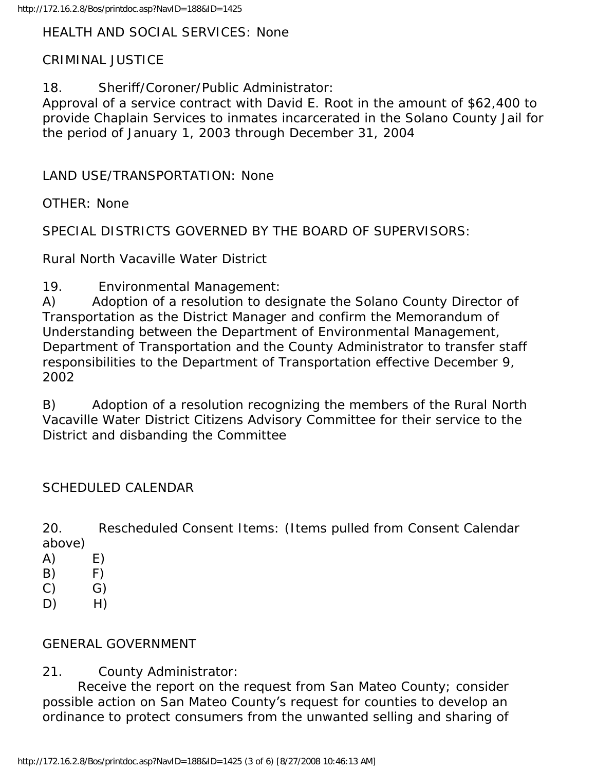HEALTH AND SOCIAL SERVICES: None

### CRIMINAL JUSTICE

18. Sheriff/Coroner/Public Administrator:

Approval of a service contract with David E. Root in the amount of \$62,400 to provide Chaplain Services to inmates incarcerated in the Solano County Jail for the period of January 1, 2003 through December 31, 2004

LAND USE/TRANSPORTATION: None

OTHER: None

SPECIAL DISTRICTS GOVERNED BY THE BOARD OF SUPERVISORS:

Rural North Vacaville Water District

19. Environmental Management:

A) Adoption of a resolution to designate the Solano County Director of Transportation as the District Manager and confirm the Memorandum of Understanding between the Department of Environmental Management, Department of Transportation and the County Administrator to transfer staff responsibilities to the Department of Transportation effective December 9, 2002

B) Adoption of a resolution recognizing the members of the Rural North Vacaville Water District Citizens Advisory Committee for their service to the District and disbanding the Committee

### SCHEDULED CALENDAR

20. Rescheduled Consent Items: (Items pulled from Consent Calendar above)

- $(A)$   $E)$
- $(B)$  F)
- $(C)$   $G)$
- $D)$  H)

### GENERAL GOVERNMENT

21. County Administrator:

 Receive the report on the request from San Mateo County; consider possible action on San Mateo County's request for counties to develop an ordinance to protect consumers from the unwanted selling and sharing of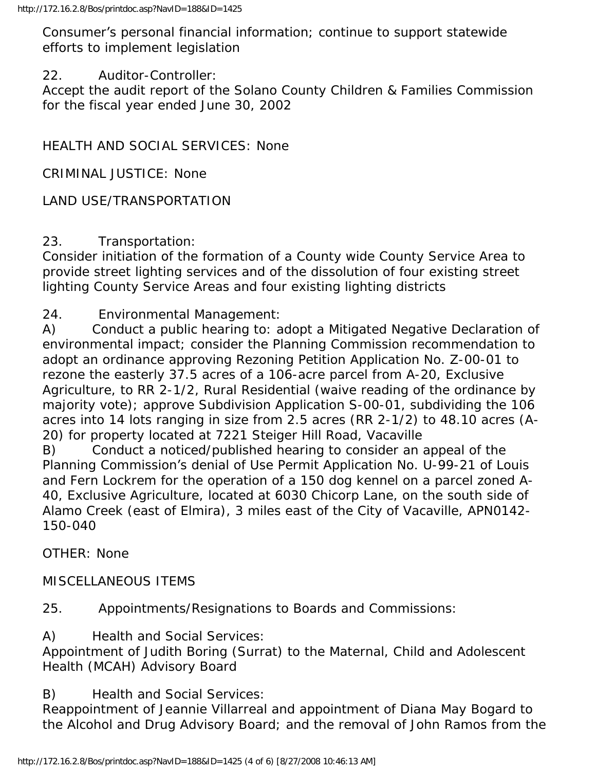Consumer's personal financial information; continue to support statewide efforts to implement legislation

### 22. Auditor-Controller:

Accept the audit report of the Solano County Children & Families Commission for the fiscal year ended June 30, 2002

HEALTH AND SOCIAL SERVICES: None

CRIMINAL JUSTICE: None

# LAND USE/TRANSPORTATION

## 23. Transportation:

Consider initiation of the formation of a County wide County Service Area to provide street lighting services and of the dissolution of four existing street lighting County Service Areas and four existing lighting districts

24. Environmental Management:

A) Conduct a public hearing to: adopt a Mitigated Negative Declaration of environmental impact; consider the Planning Commission recommendation to adopt an ordinance approving Rezoning Petition Application No. Z-00-01 to rezone the easterly 37.5 acres of a 106-acre parcel from A-20, Exclusive Agriculture, to RR 2-1/2, Rural Residential (waive reading of the ordinance by majority vote); approve Subdivision Application S-00-01, subdividing the 106 acres into 14 lots ranging in size from 2.5 acres (RR 2-1/2) to 48.10 acres (A-20) for property located at 7221 Steiger Hill Road, Vacaville

B) Conduct a noticed/published hearing to consider an appeal of the Planning Commission's denial of Use Permit Application No. U-99-21 of Louis and Fern Lockrem for the operation of a 150 dog kennel on a parcel zoned A-40, Exclusive Agriculture, located at 6030 Chicorp Lane, on the south side of Alamo Creek (east of Elmira), 3 miles east of the City of Vacaville, APN0142- 150-040

OTHER: None

MISCELLANEOUS ITEMS

25. Appointments/Resignations to Boards and Commissions:

A) Health and Social Services:

Appointment of Judith Boring (Surrat) to the Maternal, Child and Adolescent Health (MCAH) Advisory Board

B) Health and Social Services:

Reappointment of Jeannie Villarreal and appointment of Diana May Bogard to the Alcohol and Drug Advisory Board; and the removal of John Ramos from the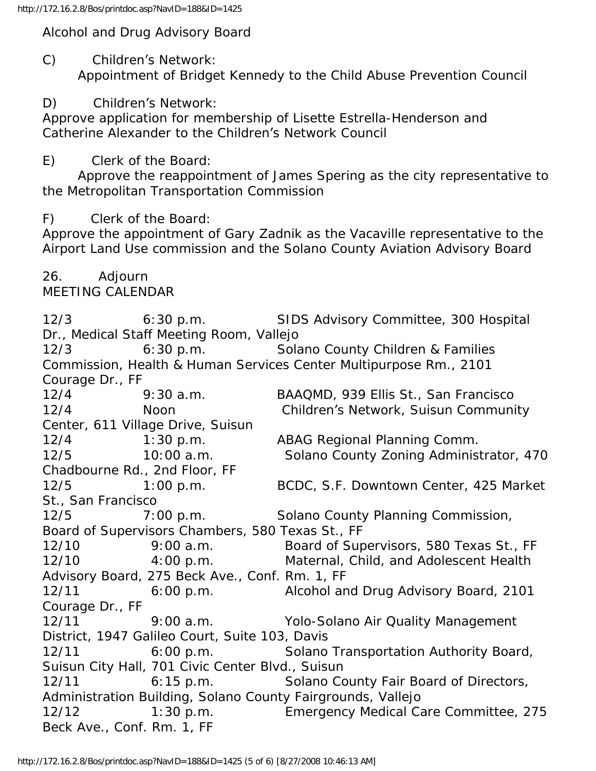Alcohol and Drug Advisory Board

C) Children's Network:

Appointment of Bridget Kennedy to the Child Abuse Prevention Council

D) Children's Network:

Approve application for membership of Lisette Estrella-Henderson and Catherine Alexander to the Children's Network Council

E) Clerk of the Board:

 Approve the reappointment of James Spering as the city representative to the Metropolitan Transportation Commission

F) Clerk of the Board:

Approve the appointment of Gary Zadnik as the Vacaville representative to the Airport Land Use commission and the Solano County Aviation Advisory Board

26. Adjourn MEETING CALENDAR

12/3 6:30 p.m. SIDS Advisory Committee, 300 Hospital Dr., Medical Staff Meeting Room, Vallejo 12/3 6:30 p.m. Solano County Children & Families Commission, Health & Human Services Center Multipurpose Rm., 2101 Courage Dr., FF 12/4 9:30 a.m. BAAQMD, 939 Ellis St., San Francisco 12/4 Noon Children's Network, Suisun Community Center, 611 Village Drive, Suisun 12/4 1:30 p.m. ABAG Regional Planning Comm. 12/5 10:00 a.m. Solano County Zoning Administrator, 470 Chadbourne Rd., 2nd Floor, FF 12/5 1:00 p.m. BCDC, S.F. Downtown Center, 425 Market St., San Francisco 12/5 7:00 p.m. Solano County Planning Commission, Board of Supervisors Chambers, 580 Texas St., FF 12/10 9:00 a.m. Board of Supervisors, 580 Texas St., FF 12/10 4:00 p.m. Maternal, Child, and Adolescent Health Advisory Board, 275 Beck Ave., Conf. Rm. 1, FF 12/11 6:00 p.m. Alcohol and Drug Advisory Board, 2101 Courage Dr., FF 12/11 9:00 a.m. Yolo-Solano Air Quality Management District, 1947 Galileo Court, Suite 103, Davis 12/11 6:00 p.m. Solano Transportation Authority Board, Suisun City Hall, 701 Civic Center Blvd., Suisun 12/11 6:15 p.m. Solano County Fair Board of Directors, Administration Building, Solano County Fairgrounds, Vallejo 12/12 1:30 p.m. Emergency Medical Care Committee, 275 Beck Ave., Conf. Rm. 1, FF